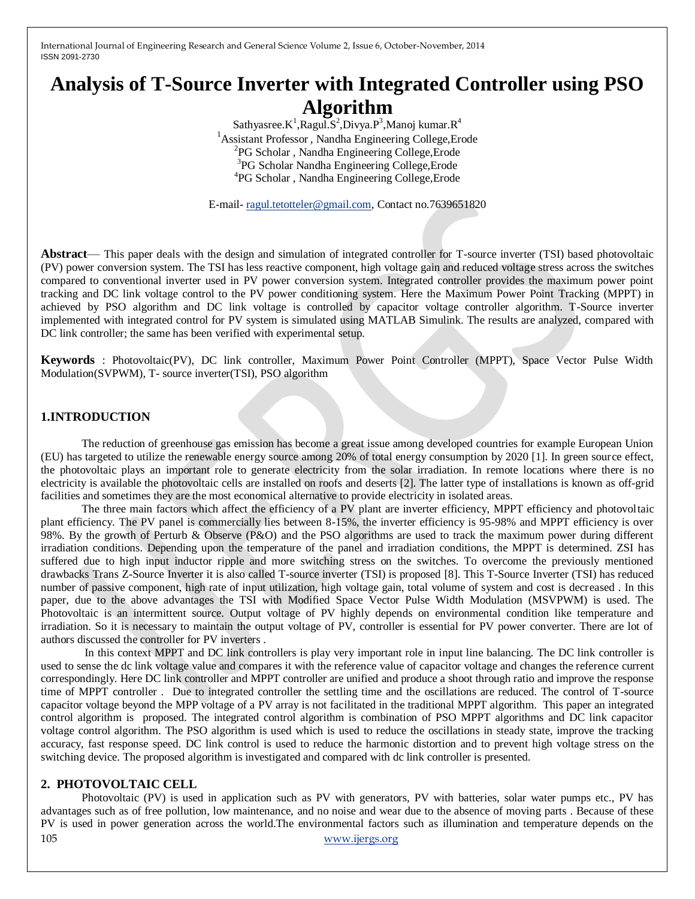# **Analysis of T-Source Inverter with Integrated Controller using PSO Algorithm**

Sathyasree.K<sup>1</sup>, Ragul.S<sup>2</sup>, Divya.P<sup>3</sup>, Manoj kumar.R<sup>4</sup> Assistant Professor , Nandha Engineering College,Erode PG Scholar , Nandha Engineering College,Erode PG Scholar Nandha Engineering College,Erode PG Scholar , Nandha Engineering College,Erode

E-mail- [ragul.tetotteler@gmail.com,](mailto:ragul.tetotteler@gmail.com) Contact no.7639651820

**Abstract**— This paper deals with the design and simulation of integrated controller for T-source inverter (TSI) based photovoltaic (PV) power conversion system. The TSI has less reactive component, high voltage gain and reduced voltage stress across the switches compared to conventional inverter used in PV power conversion system. Integrated controller provides the maximum power point tracking and DC link voltage control to the PV power conditioning system. Here the Maximum Power Point Tracking (MPPT) in achieved by PSO algorithm and DC link voltage is controlled by capacitor voltage controller algorithm. T-Source inverter implemented with integrated control for PV system is simulated using MATLAB Simulink. The results are analyzed, compared with DC link controller; the same has been verified with experimental setup.

**Keywords** : Photovoltaic(PV), DC link controller, Maximum Power Point Controller (MPPT), Space Vector Pulse Width Modulation(SVPWM), T- source inverter(TSI), PSO algorithm

## **1.INTRODUCTION**

The reduction of greenhouse gas emission has become a great issue among developed countries for example European Union (EU) has targeted to utilize the renewable energy source among 20% of total energy consumption by 2020 [1]. In green source effect, the photovoltaic plays an important role to generate electricity from the solar irradiation. In remote locations where there is no electricity is available the photovoltaic cells are installed on roofs and deserts [2]. The latter type of installations is known as off-grid facilities and sometimes they are the most economical alternative to provide electricity in isolated areas.

The three main factors which affect the efficiency of a PV plant are inverter efficiency, MPPT efficiency and photovoltaic plant efficiency. The PV panel is commercially lies between 8-15%, the inverter efficiency is 95-98% and MPPT efficiency is over 98%. By the growth of Perturb & Observe (P&O) and the PSO algorithms are used to track the maximum power during different irradiation conditions. Depending upon the temperature of the panel and irradiation conditions, the MPPT is determined. ZSI has suffered due to high input inductor ripple and more switching stress on the switches. To overcome the previously mentioned drawbacks Trans Z-Source Inverter it is also called T-source inverter (TSI) is proposed [8]. This T-Source Inverter (TSI) has reduced number of passive component, high rate of input utilization, high voltage gain, total volume of system and cost is decreased . In this paper, due to the above advantages the TSI with Modified Space Vector Pulse Width Modulation (MSVPWM) is used. The Photovoltaic is an intermittent source. Output voltage of PV highly depends on environmental condition like temperature and irradiation. So it is necessary to maintain the output voltage of PV, controller is essential for PV power converter. There are lot of authors discussed the controller for PV inverters .

In this context MPPT and DC link controllers is play very important role in input line balancing. The DC link controller is used to sense the dc link voltage value and compares it with the reference value of capacitor voltage and changes the reference current correspondingly. Here DC link controller and MPPT controller are unified and produce a shoot through ratio and improve the response time of MPPT controller . Due to integrated controller the settling time and the oscillations are reduced. The control of T-source capacitor voltage beyond the MPP voltage of a PV array is not facilitated in the traditional MPPT algorithm. This paper an integrated control algorithm is proposed. The integrated control algorithm is combination of PSO MPPT algorithms and DC link capacitor voltage control algorithm. The PSO algorithm is used which is used to reduce the oscillations in steady state, improve the tracking accuracy, fast response speed. DC link control is used to reduce the harmonic distortion and to prevent high voltage stress on the switching device. The proposed algorithm is investigated and compared with dc link controller is presented.

#### **2. PHOTOVOLTAIC CELL**

105 [www.ijergs.org](http://www.ijergs.org/) Photovoltaic (PV) is used in application such as PV with generators, PV with batteries, solar water pumps etc., PV has advantages such as of free pollution, low maintenance, and no noise and wear due to the absence of moving parts . Because of these PV is used in power generation across the world.The environmental factors such as illumination and temperature depends on the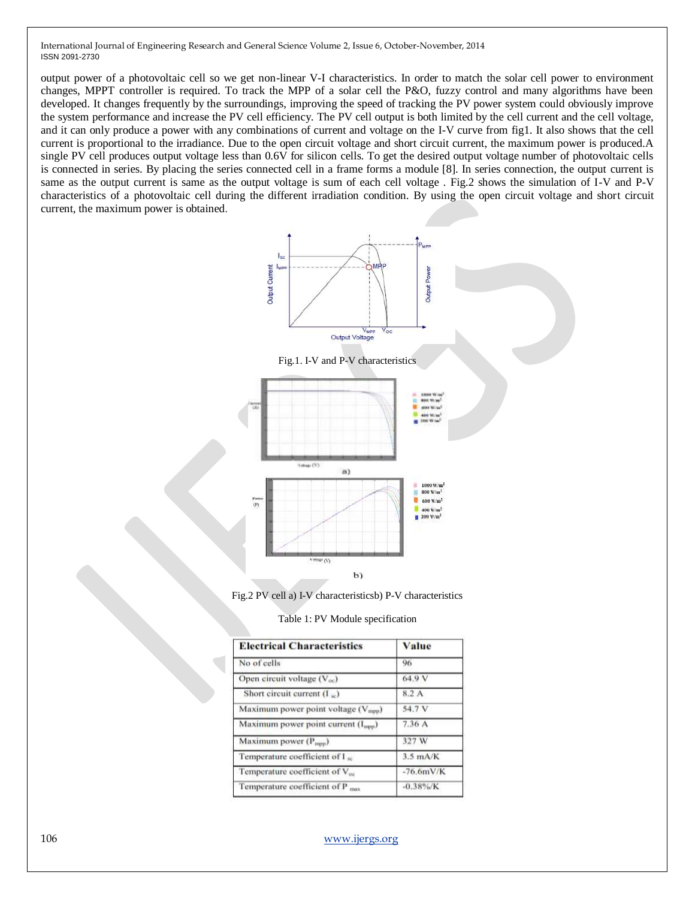output power of a photovoltaic cell so we get non-linear V-I characteristics. In order to match the solar cell power to environment changes, MPPT controller is required. To track the MPP of a solar cell the P&O, fuzzy control and many algorithms have been developed. It changes frequently by the surroundings, improving the speed of tracking the PV power system could obviously improve the system performance and increase the PV cell efficiency. The PV cell output is both limited by the cell current and the cell voltage, and it can only produce a power with any combinations of current and voltage on the I-V curve from fig1. It also shows that the cell current is proportional to the irradiance. Due to the open circuit voltage and short circuit current, the maximum power is produced.A single PV cell produces output voltage less than 0.6V for silicon cells. To get the desired output voltage number of photovoltaic cells is connected in series. By placing the series connected cell in a frame forms a module [8]. In series connection, the output current is same as the output current is same as the output voltage is sum of each cell voltage . Fig.2 shows the simulation of I-V and P-V characteristics of a photovoltaic cell during the different irradiation condition. By using the open circuit voltage and short circuit current, the maximum power is obtained.



Fig.2 PV cell a) I-V characteristicsb) P-V characteristics

|  |  |  | Table 1: PV Module specification |
|--|--|--|----------------------------------|
|--|--|--|----------------------------------|

| <b>Electrical Characteristics</b>              | Value        |
|------------------------------------------------|--------------|
| No of cells                                    | 96           |
| Open circuit voltage $(V_{oc})$                | 64.9 V       |
| Short circuit current $(I_{sc})$               | 8.2 A        |
| Maximum power point voltage $(V_{\text{mpp}})$ | 54.7 V       |
| Maximum power point current $(I_{\text{app}})$ | 7.36A        |
| Maximum power $(P_{\text{mpp}})$               | 327 W        |
| Temperature coefficient of I so                | $3.5$ mA/K   |
| Temperature coefficient of $V_{\infty}$        | $-76.6mV/K$  |
| Temperature coefficient of $P_{\text{max}}$    | $-0.38\%$ /K |

106 [www.ijergs.org](http://www.ijergs.org/)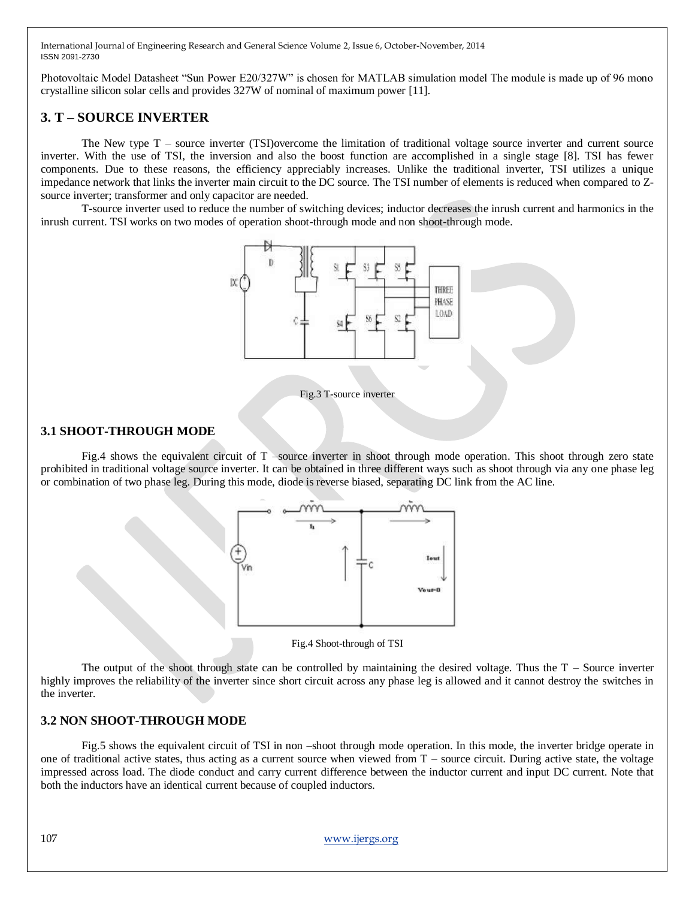Photovoltaic Model Datasheet "Sun Power E20/327W" is chosen for MATLAB simulation model The module is made up of 96 mono crystalline silicon solar cells and provides 327W of nominal of maximum power [11].

# **3. T – SOURCE INVERTER**

The New type T – source inverter (TSI)overcome the limitation of traditional voltage source inverter and current source inverter. With the use of TSI, the inversion and also the boost function are accomplished in a single stage [8]. TSI has fewer components. Due to these reasons, the efficiency appreciably increases. Unlike the traditional inverter, TSI utilizes a unique impedance network that links the inverter main circuit to the DC source. The TSI number of elements is reduced when compared to Zsource inverter; transformer and only capacitor are needed.

T-source inverter used to reduce the number of switching devices; inductor decreases the inrush current and harmonics in the inrush current. TSI works on two modes of operation shoot-through mode and non shoot-through mode.



Fig.3 T-source inverter

## **3.1 SHOOT-THROUGH MODE**

Fig.4 shows the equivalent circuit of T –source inverter in shoot through mode operation. This shoot through zero state prohibited in traditional voltage source inverter. It can be obtained in three different ways such as shoot through via any one phase leg or combination of two phase leg. During this mode, diode is reverse biased, separating DC link from the AC line.





The output of the shoot through state can be controlled by maintaining the desired voltage. Thus the  $T -$  Source inverter highly improves the reliability of the inverter since short circuit across any phase leg is allowed and it cannot destroy the switches in the inverter.

## **3.2 NON SHOOT-THROUGH MODE**

Fig.5 shows the equivalent circuit of TSI in non –shoot through mode operation. In this mode, the inverter bridge operate in one of traditional active states, thus acting as a current source when viewed from T – source circuit. During active state, the voltage impressed across load. The diode conduct and carry current difference between the inductor current and input DC current. Note that both the inductors have an identical current because of coupled inductors.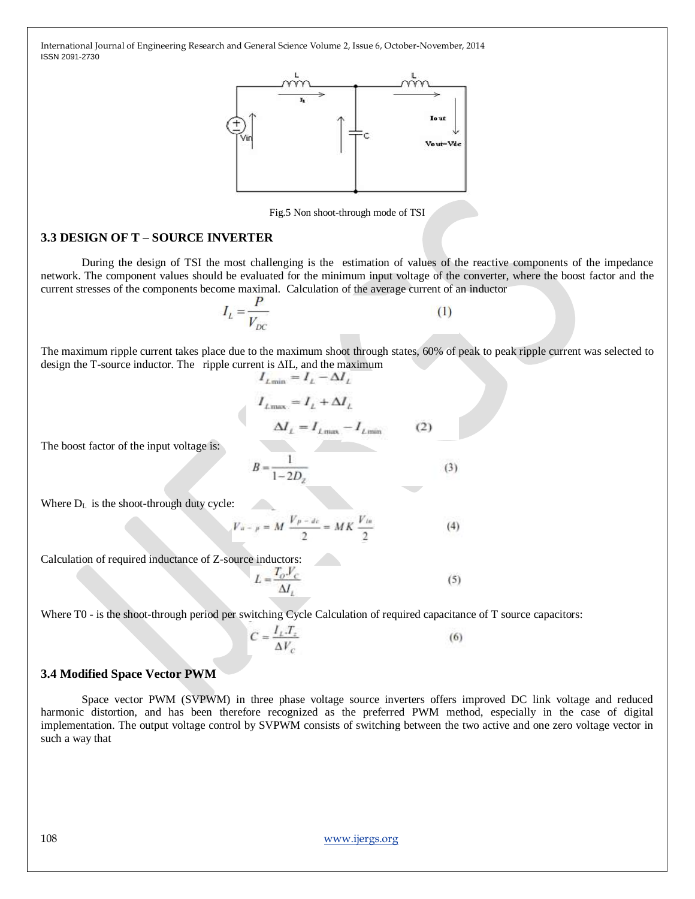

Fig.5 Non shoot-through mode of TSI

## **3.3 DESIGN OF T – SOURCE INVERTER**

During the design of TSI the most challenging is the estimation of values of the reactive components of the impedance network. The component values should be evaluated for the minimum input voltage of the converter, where the boost factor and the current stresses of the components become maximal. Calculation of the average current of an inductor

$$
I_L = \frac{P}{V_{DC}}\tag{1}
$$

The maximum ripple current takes place due to the maximum shoot through states, 60% of peak to peak ripple current was selected to design the T-source inductor. The ripple current is ∆IL, and the maximum  $I_{\ell m n} = I_{\ell} - \Delta I_{\ell}$ 

$$
I_{L\max} = I_L + \Delta I_L
$$
  

$$
\Delta I_L = I_{L\max} - I_{L\min}
$$
 (2)

The boost factor of the input voltage is:

$$
B = \frac{1}{1 - 2D_z} \tag{3}
$$

Where  $D_L$  is the shoot-through duty cycle:

$$
V_{a - p} = M \frac{V_{p - de}}{2} = MK \frac{V_{ia}}{2}
$$
 (4)

Calculation of required inductance of Z-source inductors:

$$
L = \frac{T_o V_c}{\Delta I_L} \tag{5}
$$

Where T0 - is the shoot-through period per switching Cycle Calculation of required capacitance of T source capacitors:

 $C = \frac{I_L . T_z}{\Delta V_c}$  $(6)$ 

## **3.4 Modified Space Vector PWM**

Space vector PWM (SVPWM) in three phase voltage source inverters offers improved DC link voltage and reduced harmonic distortion, and has been therefore recognized as the preferred PWM method, especially in the case of digital implementation. The output voltage control by SVPWM consists of switching between the two active and one zero voltage vector in such a way that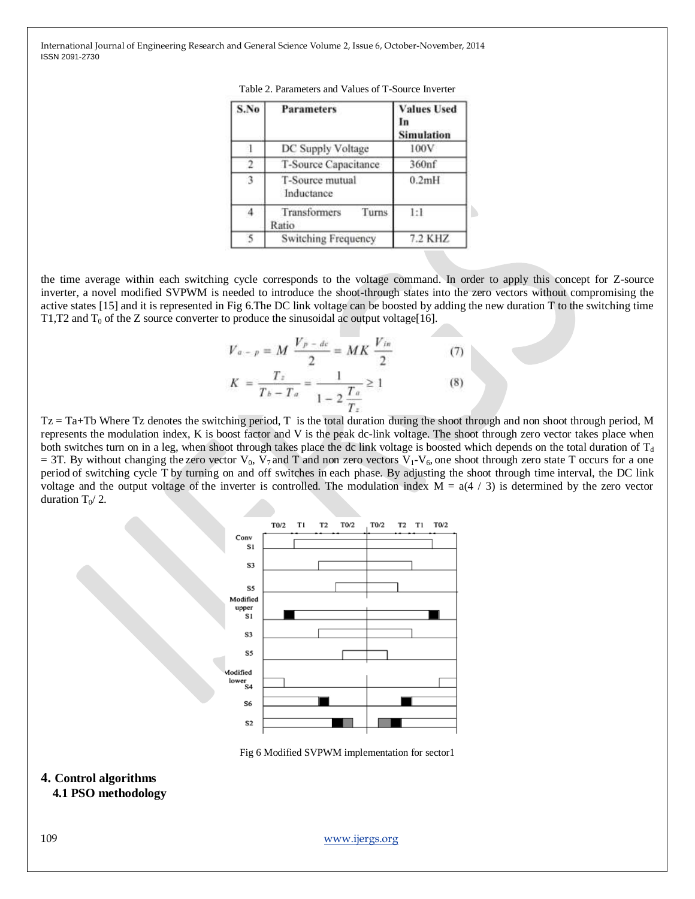| S.No           | <b>Parameters</b>              | <b>Values Used</b><br><b>Simulation</b> |
|----------------|--------------------------------|-----------------------------------------|
|                | DC Supply Voltage              | 100V                                    |
|                | T-Source Capacitance           | 360nf                                   |
| 3              | T-Source mutual<br>Inductance  | 0.2mH                                   |
| $\overline{4}$ | Transformers<br>Turns<br>Ratio | 1:1                                     |
| 5              | <b>Switching Frequency</b>     | 7.2 KHZ                                 |

|  |  | Table 2. Parameters and Values of T-Source Inverter |  |  |  |  |  |
|--|--|-----------------------------------------------------|--|--|--|--|--|
|--|--|-----------------------------------------------------|--|--|--|--|--|

the time average within each switching cycle corresponds to the voltage command. In order to apply this concept for Z-source inverter, a novel modified SVPWM is needed to introduce the shoot-through states into the zero vectors without compromising the active states [15] and it is represented in Fig 6.The DC link voltage can be boosted by adding the new duration T to the switching time T1,T2 and  $T_0$  of the Z source converter to produce the sinusoidal ac output voltage[16].

$$
V_{a-p} = M \frac{V_{p-dc}}{2} = MK \frac{V_{in}}{2}
$$
(7)  

$$
K = \frac{T_{\bar{x}}}{T_{b}-T_{a}} = \frac{1}{1-2\frac{T_{a}}{T_{\bar{x}}}} \ge 1
$$
(8)

 $Tz = Ta + Tb$  Where Tz denotes the switching period, T is the total duration during the shoot through and non shoot through period, M represents the modulation index, K is boost factor and V is the peak dc-link voltage. The shoot through zero vector takes place when both switches turn on in a leg, when shoot through takes place the dc link voltage is boosted which depends on the total duration of  $T_d$  $= 3T$ . By without changing the zero vector V<sub>0</sub>, V<sub>7</sub> and T and non zero vectors V<sub>1</sub>-V<sub>6</sub>, one shoot through zero state T occurs for a one period of switching cycle T by turning on and off switches in each phase. By adjusting the shoot through time interval, the DC link voltage and the output voltage of the inverter is controlled. The modulation index  $M = a(4 / 3)$  is determined by the zero vector duration  $T_0/2$ .



Fig 6 Modified SVPWM implementation for sector1

#### **4. Control algorithms 4.1 PSO methodology**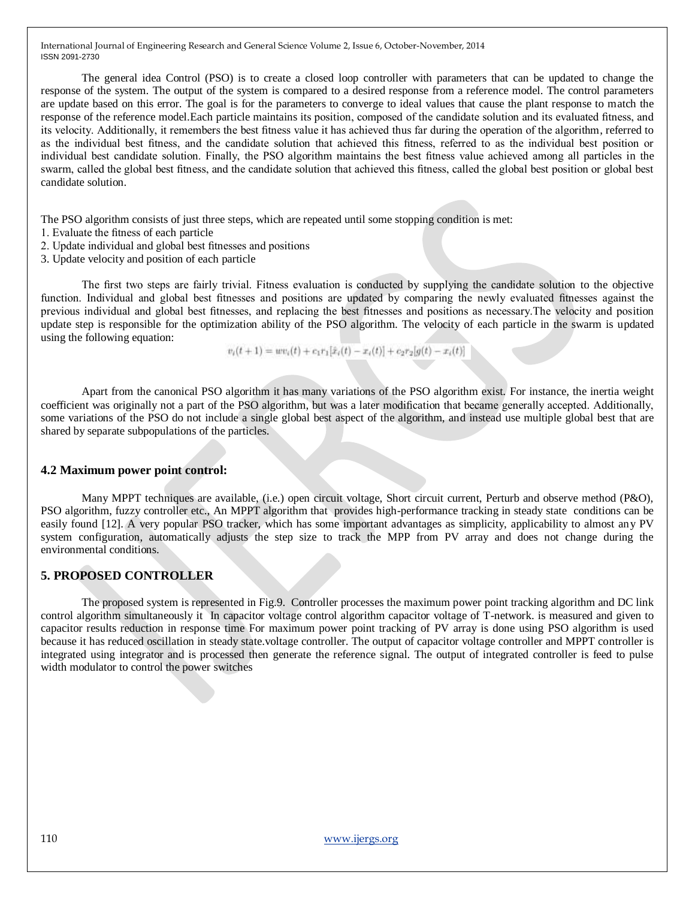The general idea Control (PSO) is to create a closed loop controller with parameters that can be updated to change the response of the system. The output of the system is compared to a desired response from a reference model. The control parameters are update based on this error. The goal is for the parameters to converge to ideal values that cause the plant response to match the response of the reference model.Each particle maintains its position, composed of the candidate solution and its evaluated fitness, and its velocity. Additionally, it remembers the best fitness value it has achieved thus far during the operation of the algorithm, referred to as the individual best fitness, and the candidate solution that achieved this fitness, referred to as the individual best position or individual best candidate solution. Finally, the PSO algorithm maintains the best fitness value achieved among all particles in the swarm, called the global best fitness, and the candidate solution that achieved this fitness, called the global best position or global best candidate solution.

The PSO algorithm consists of just three steps, which are repeated until some stopping condition is met:

- 1. Evaluate the fitness of each particle
- 2. Update individual and global best fitnesses and positions
- 3. Update velocity and position of each particle

The first two steps are fairly trivial. Fitness evaluation is conducted by supplying the candidate solution to the objective function. Individual and global best fitnesses and positions are updated by comparing the newly evaluated fitnesses against the previous individual and global best fitnesses, and replacing the best fitnesses and positions as necessary.The velocity and position update step is responsible for the optimization ability of the PSO algorithm. The velocity of each particle in the swarm is updated using the following equation:

 $v_i(t+1) = uv_i(t) + c_1r_1[\hat{x}_i(t) - x_i(t)] + c_2r_2[g(t) - x_i(t)]$ 

Apart from the canonical PSO algorithm it has many variations of the PSO algorithm exist. For instance, the inertia weight coefficient was originally not a part of the PSO algorithm, but was a later modification that became generally accepted. Additionally, some variations of the PSO do not include a single global best aspect of the algorithm, and instead use multiple global best that are shared by separate subpopulations of the particles.

#### **4.2 Maximum power point control:**

Many MPPT techniques are available, (i.e.) open circuit voltage, Short circuit current, Perturb and observe method (P&O), PSO algorithm, fuzzy controller etc., An MPPT algorithm that provides high-performance tracking in steady state conditions can be easily found [12]. A very popular PSO tracker, which has some important advantages as simplicity, applicability to almost any PV system configuration, automatically adjusts the step size to track the MPP from PV array and does not change during the environmental conditions.

## **5. PROPOSED CONTROLLER**

The proposed system is represented in Fig.9. Controller processes the maximum power point tracking algorithm and DC link control algorithm simultaneously it In capacitor voltage control algorithm capacitor voltage of T-network. is measured and given to capacitor results reduction in response time For maximum power point tracking of PV array is done using PSO algorithm is used because it has reduced oscillation in steady state.voltage controller. The output of capacitor voltage controller and MPPT controller is integrated using integrator and is processed then generate the reference signal. The output of integrated controller is feed to pulse width modulator to control the power switches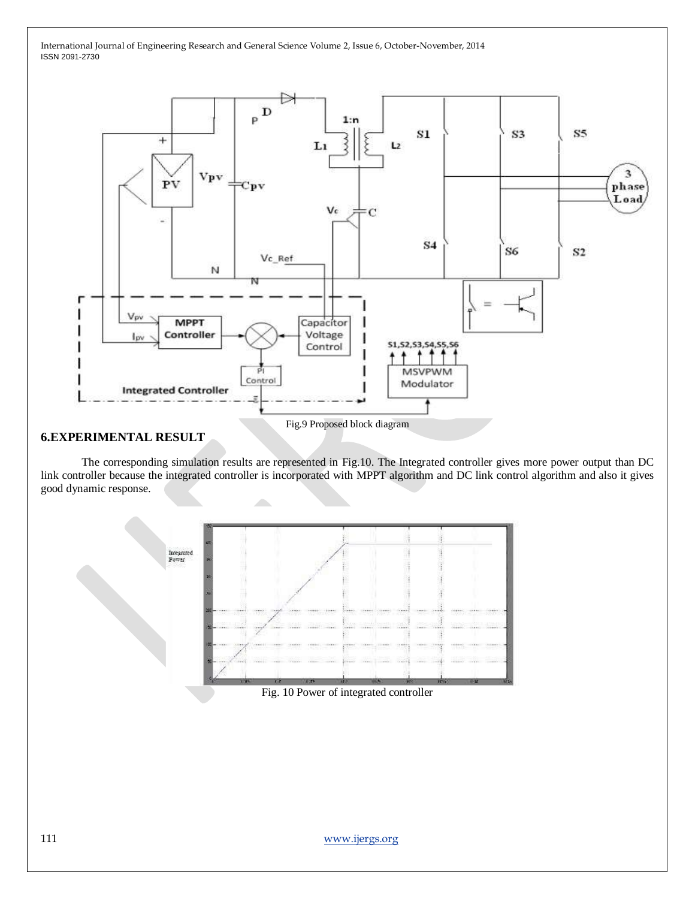

## **6.EXPERIMENTAL RESULT**

The corresponding simulation results are represented in Fig.10. The Integrated controller gives more power output than DC link controller because the integrated controller is incorporated with MPPT algorithm and DC link control algorithm and also it gives good dynamic response.



Fig. 10 Power of integrated controller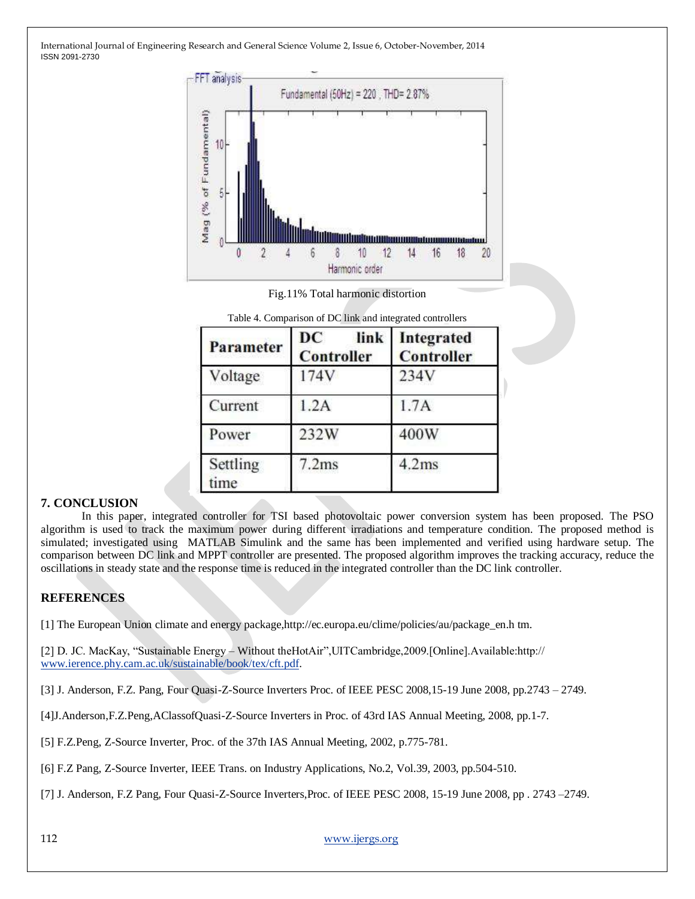

Fig.11% Total harmonic distortion

| Table 4. Comparison of DC link and integrated controllers |    |  |                 |
|-----------------------------------------------------------|----|--|-----------------|
|                                                           | DC |  | link Integrated |

| <b>Parameter</b> | DC<br>link<br><b>Controller</b> | Integrated<br><b>Controller</b> |
|------------------|---------------------------------|---------------------------------|
| Voltage          | 174V                            | 234V                            |
| Current          | 1.2A                            | 1.7A                            |
| Power            | 232W                            | 400W                            |
| Settling<br>ime  | 7.2ms                           | 4.2ms                           |

# **7. CONCLUSION**

In this paper, integrated controller for TSI based photovoltaic power conversion system has been proposed. The PSO algorithm is used to track the maximum power during different irradiations and temperature condition. The proposed method is simulated; investigated using MATLAB Simulink and the same has been implemented and verified using hardware setup. The comparison between DC link and MPPT controller are presented. The proposed algorithm improves the tracking accuracy, reduce the oscillations in steady state and the response time is reduced in the integrated controller than the DC link controller.

# **REFERENCES**

[1] The European Union climate and energy package,http://ec.europa.eu/clime/policies/au/package\_en.h tm.

[2] D. JC. MacKay, "Sustainable Energy – Without theHotAir", UITCambridge, 2009. [Online]. Available:http:// [www.ierence.phy.cam.ac.uk/sustainable/book/tex/cft.pdf.](http://www.ierence.phy.cam.ac.uk/sustainable/book/tex/cft.pdf)

[3] J. Anderson, F.Z. Pang, Four Quasi-Z-Source Inverters Proc. of IEEE PESC 2008,15-19 June 2008, pp.2743 – 2749.

[4]J.Anderson,F.Z.Peng,AClassofQuasi-Z-Source Inverters in Proc. of 43rd IAS Annual Meeting, 2008, pp.1-7.

[5] F.Z.Peng, Z-Source Inverter, Proc. of the 37th IAS Annual Meeting, 2002, p.775-781.

[6] F.Z Pang, Z-Source Inverter, IEEE Trans. on Industry Applications, No.2, Vol.39, 2003, pp.504-510.

[7] J. Anderson, F.Z Pang, Four Quasi-Z-Source Inverters,Proc. of IEEE PESC 2008, 15-19 June 2008, pp . 2743 –2749.